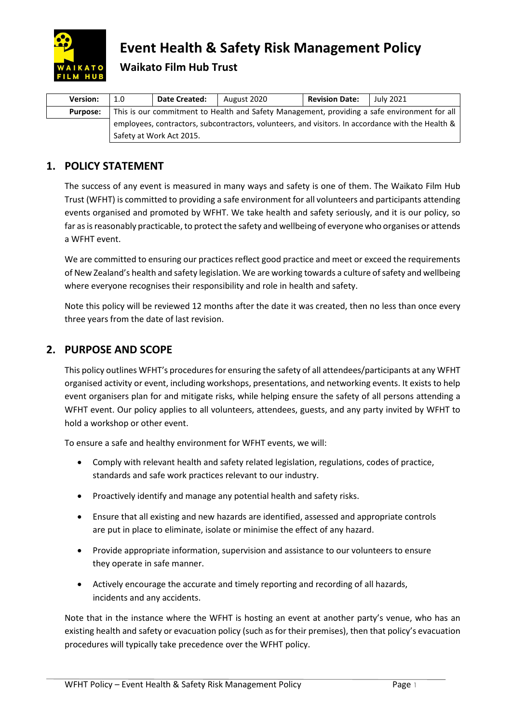

# **Event Health & Safety Risk Management Policy**

# **Waikato Film Hub Trust**

| <b>Version:</b> | 1.0 | Date Created:            | August 2020 | <b>Revision Date:</b> | July 2021                                                                                         |
|-----------------|-----|--------------------------|-------------|-----------------------|---------------------------------------------------------------------------------------------------|
| <b>Purpose:</b> |     |                          |             |                       | This is our commitment to Health and Safety Management, providing a safe environment for all      |
|                 |     |                          |             |                       | employees, contractors, subcontractors, volunteers, and visitors. In accordance with the Health & |
|                 |     | Safety at Work Act 2015. |             |                       |                                                                                                   |

# **1. POLICY STATEMENT**

The success of any event is measured in many ways and safety is one of them. The Waikato Film Hub Trust (WFHT) is committed to providing a safe environment for all volunteers and participants attending events organised and promoted by WFHT. We take health and safety seriously, and it is our policy, so far as is reasonably practicable, to protect the safety and wellbeing of everyone who organises or attends a WFHT event.

We are committed to ensuring our practices reflect good practice and meet or exceed the requirements of New Zealand's health and safety legislation. We are working towards a culture of safety and wellbeing where everyone recognises their responsibility and role in health and safety.

Note this policy will be reviewed 12 months after the date it was created, then no less than once every three years from the date of last revision.

## **2. PURPOSE AND SCOPE**

This policy outlines WFHT's procedures for ensuring the safety of all attendees/participants at any WFHT organised activity or event, including workshops, presentations, and networking events. It exists to help event organisers plan for and mitigate risks, while helping ensure the safety of all persons attending a WFHT event. Our policy applies to all volunteers, attendees, guests, and any party invited by WFHT to hold a workshop or other event.

To ensure a safe and healthy environment for WFHT events, we will:

- Comply with relevant health and safety related legislation, regulations, codes of practice, standards and safe work practices relevant to our industry.
- Proactively identify and manage any potential health and safety risks.
- Ensure that all existing and new hazards are identified, assessed and appropriate controls are put in place to eliminate, isolate or minimise the effect of any hazard.
- Provide appropriate information, supervision and assistance to our volunteers to ensure they operate in safe manner.
- Actively encourage the accurate and timely reporting and recording of all hazards, incidents and any accidents.

Note that in the instance where the WFHT is hosting an event at another party's venue, who has an existing health and safety or evacuation policy (such as for their premises), then that policy's evacuation procedures will typically take precedence over the WFHT policy.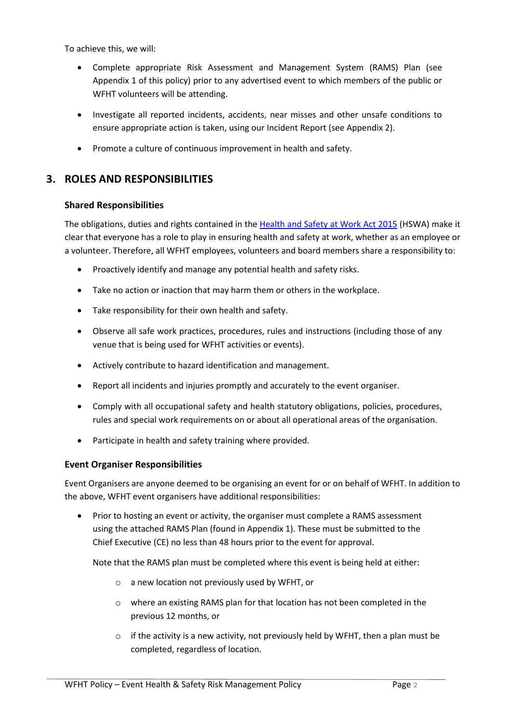To achieve this, we will:

- Complete appropriate Risk Assessment and Management System (RAMS) Plan (see Appendix 1 of this policy) prior to any advertised event to which members of the public or WFHT volunteers will be attending.
- Investigate all reported incidents, accidents, near misses and other unsafe conditions to ensure appropriate action is taken, using our Incident Report (see Appendix 2).
- Promote a culture of continuous improvement in health and safety.

### **3. ROLES AND RESPONSIBILITIES**

#### **Shared Responsibilities**

The obligations, duties and rights contained in the [Health and Safety at Work Act 2015](http://www.legislation.govt.nz/act/public/2015/0070/latest/DLM5976660.html) (HSWA) make it clear that everyone has a role to play in ensuring health and safety at work, whether as an employee or a volunteer. Therefore, all WFHT employees, volunteers and board members share a responsibility to:

- Proactively identify and manage any potential health and safety risks.
- Take no action or inaction that may harm them or others in the workplace.
- Take responsibility for their own health and safety.
- Observe all safe work practices, procedures, rules and instructions (including those of any venue that is being used for WFHT activities or events).
- Actively contribute to hazard identification and management.
- Report all incidents and injuries promptly and accurately to the event organiser.
- Comply with all occupational safety and health statutory obligations, policies, procedures, rules and special work requirements on or about all operational areas of the organisation.
- Participate in health and safety training where provided.

#### **Event Organiser Responsibilities**

Event Organisers are anyone deemed to be organising an event for or on behalf of WFHT. In addition to the above, WFHT event organisers have additional responsibilities:

• Prior to hosting an event or activity, the organiser must complete a RAMS assessment using the attached RAMS Plan (found in Appendix 1). These must be submitted to the Chief Executive (CE) no less than 48 hours prior to the event for approval.

Note that the RAMS plan must be completed where this event is being held at either:

- o a new location not previously used by WFHT, or
- o where an existing RAMS plan for that location has not been completed in the previous 12 months, or
- $\circ$  if the activity is a new activity, not previously held by WFHT, then a plan must be completed, regardless of location.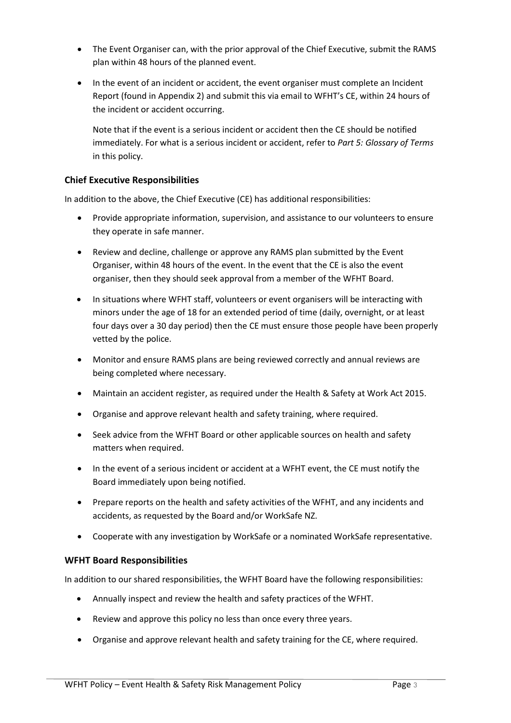- The Event Organiser can, with the prior approval of the Chief Executive, submit the RAMS plan within 48 hours of the planned event.
- In the event of an incident or accident, the event organiser must complete an Incident Report (found in Appendix 2) and submit this via email to WFHT's CE, within 24 hours of the incident or accident occurring.

Note that if the event is a serious incident or accident then the CE should be notified immediately. For what is a serious incident or accident, refer to *Part 5: Glossary of Terms* in this policy.

### **Chief Executive Responsibilities**

In addition to the above, the Chief Executive (CE) has additional responsibilities:

- Provide appropriate information, supervision, and assistance to our volunteers to ensure they operate in safe manner.
- Review and decline, challenge or approve any RAMS plan submitted by the Event Organiser, within 48 hours of the event. In the event that the CE is also the event organiser, then they should seek approval from a member of the WFHT Board.
- In situations where WFHT staff, volunteers or event organisers will be interacting with minors under the age of 18 for an extended period of time (daily, overnight, or at least four days over a 30 day period) then the CE must ensure those people have been properly vetted by the police.
- Monitor and ensure RAMS plans are being reviewed correctly and annual reviews are being completed where necessary.
- Maintain an accident register, as required under the Health & Safety at Work Act 2015.
- Organise and approve relevant health and safety training, where required.
- Seek advice from the WFHT Board or other applicable sources on health and safety matters when required.
- In the event of a serious incident or accident at a WFHT event, the CE must notify the Board immediately upon being notified.
- Prepare reports on the health and safety activities of the WFHT, and any incidents and accidents, as requested by the Board and/or WorkSafe NZ.
- Cooperate with any investigation by WorkSafe or a nominated WorkSafe representative.

#### **WFHT Board Responsibilities**

In addition to our shared responsibilities, the WFHT Board have the following responsibilities:

- Annually inspect and review the health and safety practices of the WFHT.
- Review and approve this policy no less than once every three years.
- Organise and approve relevant health and safety training for the CE, where required.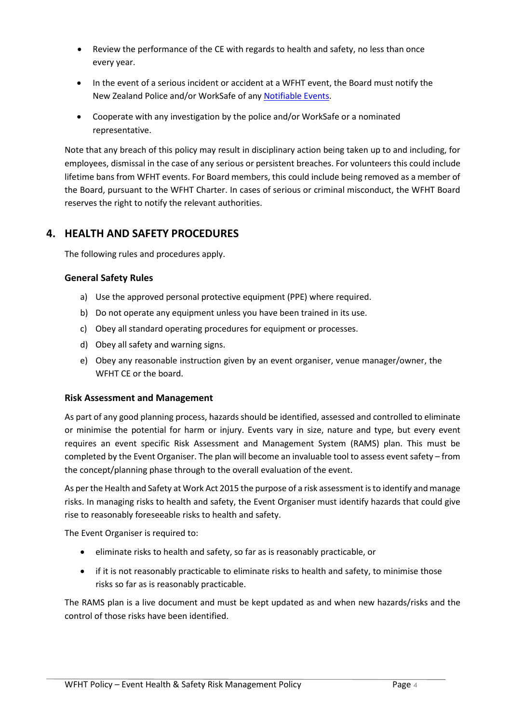- Review the performance of the CE with regards to health and safety, no less than once every year.
- In the event of a serious incident or accident at a WFHT event, the Board must notify the New Zealand Police and/or WorkSafe of any [Notifiable Events.](https://worksafe.govt.nz/notifications/notifiable-event/what-is-a-notifiable-event/#lf-doc-39637)
- Cooperate with any investigation by the police and/or WorkSafe or a nominated representative.

Note that any breach of this policy may result in disciplinary action being taken up to and including, for employees, dismissal in the case of any serious or persistent breaches. For volunteers this could include lifetime bans from WFHT events. For Board members, this could include being removed as a member of the Board, pursuant to the WFHT Charter. In cases of serious or criminal misconduct, the WFHT Board reserves the right to notify the relevant authorities.

## **4. HEALTH AND SAFETY PROCEDURES**

The following rules and procedures apply.

### **General Safety Rules**

- a) Use the approved personal protective equipment (PPE) where required.
- b) Do not operate any equipment unless you have been trained in its use.
- c) Obey all standard operating procedures for equipment or processes.
- d) Obey all safety and warning signs.
- e) Obey any reasonable instruction given by an event organiser, venue manager/owner, the WFHT CE or the board.

### **Risk Assessment and Management**

As part of any good planning process, hazards should be identified, assessed and controlled to eliminate or minimise the potential for harm or injury. Events vary in size, nature and type, but every event requires an event specific Risk Assessment and Management System (RAMS) plan. This must be completed by the Event Organiser. The plan will become an invaluable tool to assess event safety – from the concept/planning phase through to the overall evaluation of the event.

As per the Health and Safety at Work Act 2015 the purpose of a risk assessment is to identify and manage risks. In managing risks to health and safety, the Event Organiser must identify hazards that could give rise to reasonably foreseeable risks to health and safety.

The Event Organiser is required to:

- eliminate risks to health and safety, so far as is reasonably practicable, or
- if it is not reasonably practicable to eliminate risks to health and safety, to minimise those risks so far as is reasonably practicable.

The RAMS plan is a live document and must be kept updated as and when new hazards/risks and the control of those risks have been identified.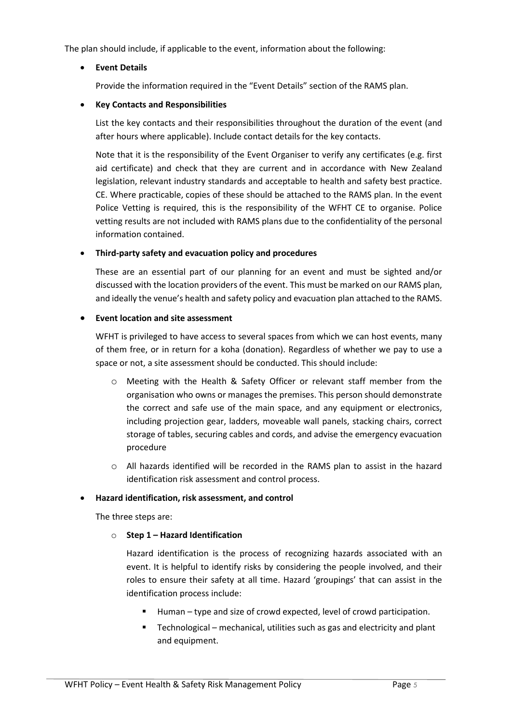The plan should include, if applicable to the event, information about the following:

#### • **Event Details**

Provide the information required in the "Event Details" section of the RAMS plan.

#### • **Key Contacts and Responsibilities**

List the key contacts and their responsibilities throughout the duration of the event (and after hours where applicable). Include contact details for the key contacts.

Note that it is the responsibility of the Event Organiser to verify any certificates (e.g. first aid certificate) and check that they are current and in accordance with New Zealand legislation, relevant industry standards and acceptable to health and safety best practice. CE. Where practicable, copies of these should be attached to the RAMS plan. In the event Police Vetting is required, this is the responsibility of the WFHT CE to organise. Police vetting results are not included with RAMS plans due to the confidentiality of the personal information contained.

#### • **Third-party safety and evacuation policy and procedures**

These are an essential part of our planning for an event and must be sighted and/or discussed with the location providers of the event. This must be marked on our RAMS plan, and ideally the venue's health and safety policy and evacuation plan attached to the RAMS.

#### • **Event location and site assessment**

WFHT is privileged to have access to several spaces from which we can host events, many of them free, or in return for a koha (donation). Regardless of whether we pay to use a space or not, a site assessment should be conducted. This should include:

- o Meeting with the Health & Safety Officer or relevant staff member from the organisation who owns or manages the premises. This person should demonstrate the correct and safe use of the main space, and any equipment or electronics, including projection gear, ladders, moveable wall panels, stacking chairs, correct storage of tables, securing cables and cords, and advise the emergency evacuation procedure
- o All hazards identified will be recorded in the RAMS plan to assist in the hazard identification risk assessment and control process.

#### • **Hazard identification, risk assessment, and control**

The three steps are:

#### o **Step 1 – Hazard Identification**

Hazard identification is the process of recognizing hazards associated with an event. It is helpful to identify risks by considering the people involved, and their roles to ensure their safety at all time. Hazard 'groupings' that can assist in the identification process include:

- Human type and size of crowd expected, level of crowd participation.
- Technological mechanical, utilities such as gas and electricity and plant and equipment.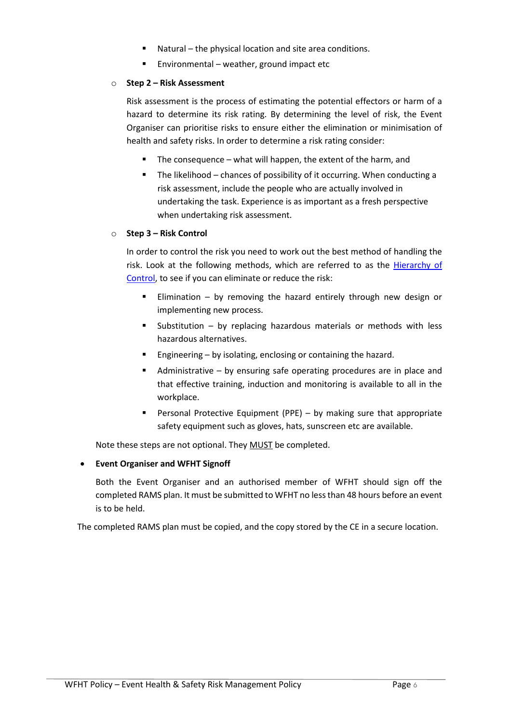- Natural the physical location and site area conditions.
- Environmental weather, ground impact etc

#### o **Step 2 – Risk Assessment**

Risk assessment is the process of estimating the potential effectors or harm of a hazard to determine its risk rating. By determining the level of risk, the Event Organiser can prioritise risks to ensure either the elimination or minimisation of health and safety risks. In order to determine a risk rating consider:

- The consequence what will happen, the extent of the harm, and
- The likelihood chances of possibility of it occurring. When conducting a risk assessment, include the people who are actually involved in undertaking the task. Experience is as important as a fresh perspective when undertaking risk assessment.

#### o **Step 3 – Risk Control**

In order to control the risk you need to work out the best method of handling the risk. Look at the following methods, which are referred to as the [Hierarchy of](https://www.worksafe.vic.gov.au/hierarchy-control)  [Control,](https://www.worksafe.vic.gov.au/hierarchy-control) to see if you can eliminate or reduce the risk:

- Elimination by removing the hazard entirely through new design or implementing new process.
- **Substitution by replacing hazardous materials or methods with less** hazardous alternatives.
- **Engineering by isolating, enclosing or containing the hazard.**
- Administrative by ensuring safe operating procedures are in place and that effective training, induction and monitoring is available to all in the workplace.
- Personal Protective Equipment (PPE) by making sure that appropriate safety equipment such as gloves, hats, sunscreen etc are available.

Note these steps are not optional. They MUST be completed.

### • **Event Organiser and WFHT Signoff**

Both the Event Organiser and an authorised member of WFHT should sign off the completed RAMS plan. It must be submitted to WFHT no less than 48 hours before an event is to be held.

The completed RAMS plan must be copied, and the copy stored by the CE in a secure location.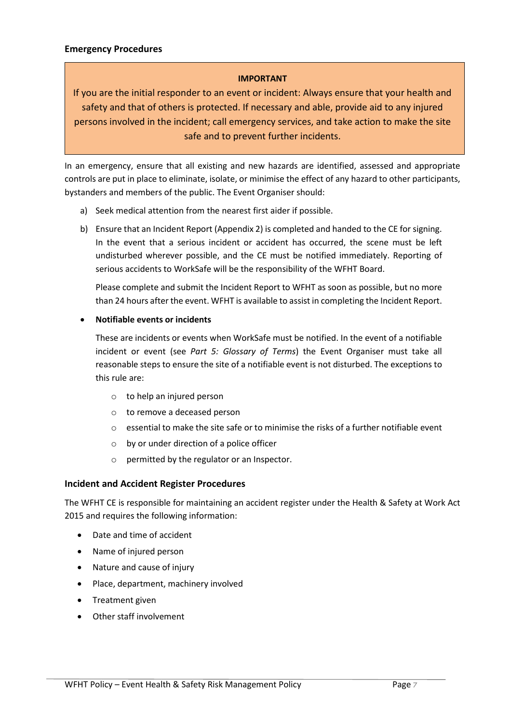#### **IMPORTANT**

If you are the initial responder to an event or incident: Always ensure that your health and safety and that of others is protected. If necessary and able, provide aid to any injured persons involved in the incident; call emergency services, and take action to make the site safe and to prevent further incidents.

In an emergency, ensure that all existing and new hazards are identified, assessed and appropriate controls are put in place to eliminate, isolate, or minimise the effect of any hazard to other participants, bystanders and members of the public. The Event Organiser should:

- a) Seek medical attention from the nearest first aider if possible.
- b) Ensure that an Incident Report (Appendix 2) is completed and handed to the CE for signing. In the event that a serious incident or accident has occurred, the scene must be left undisturbed wherever possible, and the CE must be notified immediately. Reporting of serious accidents to WorkSafe will be the responsibility of the WFHT Board.

Please complete and submit the Incident Report to WFHT as soon as possible, but no more than 24 hours after the event. WFHT is available to assist in completing the Incident Report.

#### • **Notifiable events or incidents**

These are incidents or events when WorkSafe must be notified. In the event of a notifiable incident or event (see *Part 5: Glossary of Terms*) the Event Organiser must take all reasonable steps to ensure the site of a notifiable event is not disturbed. The exceptions to this rule are:

- o to help an injured person
- o to remove a deceased person
- $\circ$  essential to make the site safe or to minimise the risks of a further notifiable event
- o by or under direction of a police officer
- o permitted by the regulator or an Inspector.

#### **Incident and Accident Register Procedures**

The WFHT CE is responsible for maintaining an accident register under the Health & Safety at Work Act 2015 and requires the following information:

- Date and time of accident
- Name of injured person
- Nature and cause of injury
- Place, department, machinery involved
- Treatment given
- Other staff involvement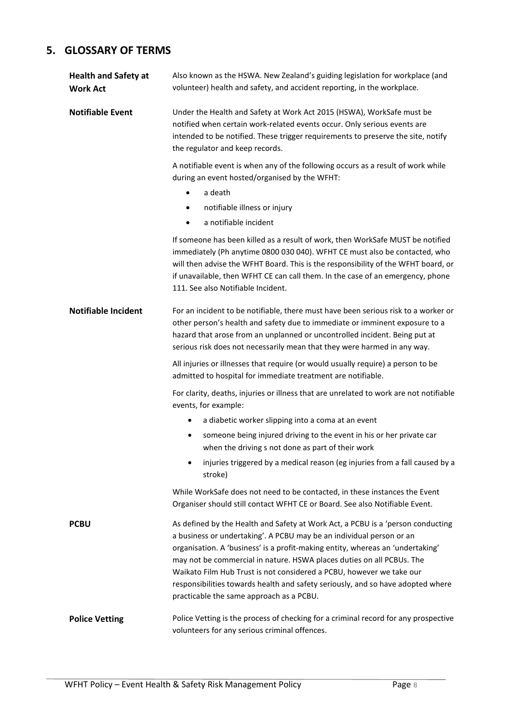# **5. GLOSSARY OF TERMS**

| <b>Health and Safety at</b><br><b>Work Act</b> | Also known as the HSWA. New Zealand's guiding legislation for workplace (and<br>volunteer) health and safety, and accident reporting, in the workplace.                                                                                                                                                                                                                                                                                                                                                                   |  |  |
|------------------------------------------------|---------------------------------------------------------------------------------------------------------------------------------------------------------------------------------------------------------------------------------------------------------------------------------------------------------------------------------------------------------------------------------------------------------------------------------------------------------------------------------------------------------------------------|--|--|
| <b>Notifiable Event</b>                        | Under the Health and Safety at Work Act 2015 (HSWA), WorkSafe must be<br>notified when certain work-related events occur. Only serious events are<br>intended to be notified. These trigger requirements to preserve the site, notify<br>the regulator and keep records.                                                                                                                                                                                                                                                  |  |  |
|                                                | A notifiable event is when any of the following occurs as a result of work while<br>during an event hosted/organised by the WFHT:                                                                                                                                                                                                                                                                                                                                                                                         |  |  |
|                                                | a death<br>$\bullet$                                                                                                                                                                                                                                                                                                                                                                                                                                                                                                      |  |  |
|                                                | notifiable illness or injury<br>$\bullet$                                                                                                                                                                                                                                                                                                                                                                                                                                                                                 |  |  |
|                                                | a notifiable incident                                                                                                                                                                                                                                                                                                                                                                                                                                                                                                     |  |  |
|                                                | If someone has been killed as a result of work, then WorkSafe MUST be notified<br>immediately (Ph anytime 0800 030 040). WFHT CE must also be contacted, who<br>will then advise the WFHT Board. This is the responsibility of the WFHT board, or<br>if unavailable, then WFHT CE can call them. In the case of an emergency, phone<br>111. See also Notifiable Incident.                                                                                                                                                 |  |  |
| <b>Notifiable Incident</b>                     | For an incident to be notifiable, there must have been serious risk to a worker or<br>other person's health and safety due to immediate or imminent exposure to a<br>hazard that arose from an unplanned or uncontrolled incident. Being put at<br>serious risk does not necessarily mean that they were harmed in any way.                                                                                                                                                                                               |  |  |
|                                                | All injuries or illnesses that require (or would usually require) a person to be<br>admitted to hospital for immediate treatment are notifiable.                                                                                                                                                                                                                                                                                                                                                                          |  |  |
|                                                | For clarity, deaths, injuries or illness that are unrelated to work are not notifiable<br>events, for example:                                                                                                                                                                                                                                                                                                                                                                                                            |  |  |
|                                                | a diabetic worker slipping into a coma at an event                                                                                                                                                                                                                                                                                                                                                                                                                                                                        |  |  |
|                                                | someone being injured driving to the event in his or her private car<br>٠<br>when the driving s not done as part of their work                                                                                                                                                                                                                                                                                                                                                                                            |  |  |
|                                                | injuries triggered by a medical reason (eg injuries from a fall caused by a<br>stroke)                                                                                                                                                                                                                                                                                                                                                                                                                                    |  |  |
|                                                | While WorkSafe does not need to be contacted, in these instances the Event<br>Organiser should still contact WFHT CE or Board. See also Notifiable Event.                                                                                                                                                                                                                                                                                                                                                                 |  |  |
| PCBU                                           | As defined by the Health and Safety at Work Act, a PCBU is a 'person conducting<br>a business or undertaking'. A PCBU may be an individual person or an<br>organisation. A 'business' is a profit-making entity, whereas an 'undertaking'<br>may not be commercial in nature. HSWA places duties on all PCBUs. The<br>Waikato Film Hub Trust is not considered a PCBU, however we take our<br>responsibilities towards health and safety seriously, and so have adopted where<br>practicable the same approach as a PCBU. |  |  |
| <b>Police Vetting</b>                          | Police Vetting is the process of checking for a criminal record for any prospective<br>volunteers for any serious criminal offences.                                                                                                                                                                                                                                                                                                                                                                                      |  |  |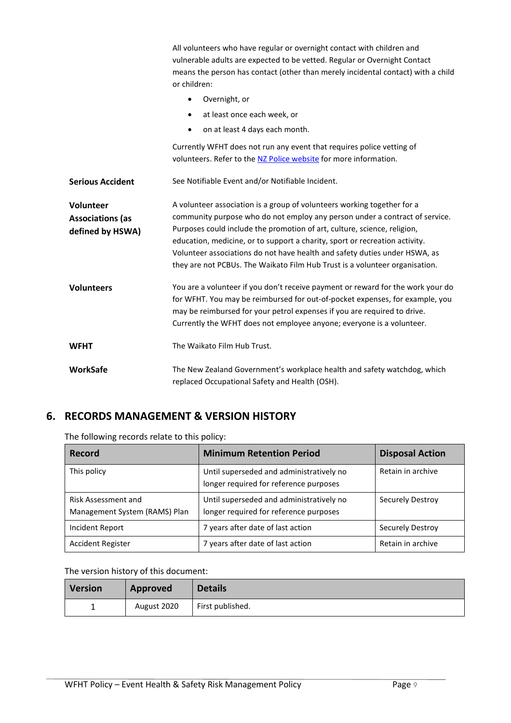|                         | All volunteers who have regular or overnight contact with children and<br>vulnerable adults are expected to be vetted. Regular or Overnight Contact<br>means the person has contact (other than merely incidental contact) with a child<br>or children:                                                              |  |  |  |
|-------------------------|----------------------------------------------------------------------------------------------------------------------------------------------------------------------------------------------------------------------------------------------------------------------------------------------------------------------|--|--|--|
|                         | Overnight, or<br>$\bullet$                                                                                                                                                                                                                                                                                           |  |  |  |
|                         | at least once each week, or<br>$\bullet$                                                                                                                                                                                                                                                                             |  |  |  |
|                         | on at least 4 days each month.<br>$\bullet$                                                                                                                                                                                                                                                                          |  |  |  |
|                         | Currently WFHT does not run any event that requires police vetting of<br>volunteers. Refer to the NZ Police website for more information.                                                                                                                                                                            |  |  |  |
| <b>Serious Accident</b> | See Notifiable Event and/or Notifiable Incident.                                                                                                                                                                                                                                                                     |  |  |  |
| Volunteer               | A volunteer association is a group of volunteers working together for a                                                                                                                                                                                                                                              |  |  |  |
| <b>Associations (as</b> | community purpose who do not employ any person under a contract of service.                                                                                                                                                                                                                                          |  |  |  |
| defined by HSWA)        | Purposes could include the promotion of art, culture, science, religion,                                                                                                                                                                                                                                             |  |  |  |
|                         | education, medicine, or to support a charity, sport or recreation activity.                                                                                                                                                                                                                                          |  |  |  |
|                         | Volunteer associations do not have health and safety duties under HSWA, as<br>they are not PCBUs. The Waikato Film Hub Trust is a volunteer organisation.                                                                                                                                                            |  |  |  |
| <b>Volunteers</b>       | You are a volunteer if you don't receive payment or reward for the work your do<br>for WFHT. You may be reimbursed for out-of-pocket expenses, for example, you<br>may be reimbursed for your petrol expenses if you are required to drive.<br>Currently the WFHT does not employee anyone; everyone is a volunteer. |  |  |  |
| <b>WFHT</b>             | The Waikato Film Hub Trust.                                                                                                                                                                                                                                                                                          |  |  |  |
| <b>WorkSafe</b>         | The New Zealand Government's workplace health and safety watchdog, which<br>replaced Occupational Safety and Health (OSH).                                                                                                                                                                                           |  |  |  |

# **6. RECORDS MANAGEMENT & VERSION HISTORY**

The following records relate to this policy:

| Record                                               | <b>Minimum Retention Period</b>                                                    | <b>Disposal Action</b> |
|------------------------------------------------------|------------------------------------------------------------------------------------|------------------------|
| This policy                                          | Until superseded and administratively no<br>longer required for reference purposes | Retain in archive      |
| Risk Assessment and<br>Management System (RAMS) Plan | Until superseded and administratively no<br>longer required for reference purposes | Securely Destroy       |
| Incident Report                                      | 7 years after date of last action                                                  | Securely Destroy       |
| <b>Accident Register</b>                             | 7 years after date of last action                                                  | Retain in archive      |

### The version history of this document:

| Version | Approved    | <b>Details</b>   |
|---------|-------------|------------------|
|         | August 2020 | First published. |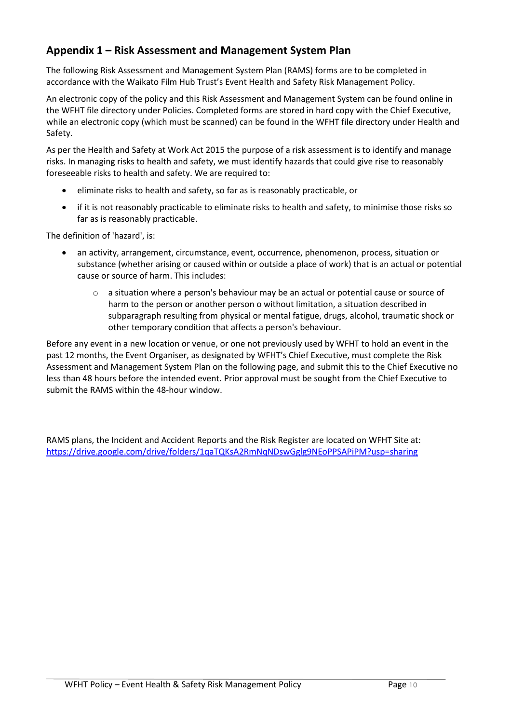## **Appendix 1 – Risk Assessment and Management System Plan**

The following Risk Assessment and Management System Plan (RAMS) forms are to be completed in accordance with the Waikato Film Hub Trust's Event Health and Safety Risk Management Policy.

An electronic copy of the policy and this Risk Assessment and Management System can be found online in the WFHT file directory under Policies. Completed forms are stored in hard copy with the Chief Executive, while an electronic copy (which must be scanned) can be found in the WFHT file directory under Health and Safety.

As per the Health and Safety at Work Act 2015 the purpose of a risk assessment is to identify and manage risks. In managing risks to health and safety, we must identify hazards that could give rise to reasonably foreseeable risks to health and safety. We are required to:

- eliminate risks to health and safety, so far as is reasonably practicable, or
- if it is not reasonably practicable to eliminate risks to health and safety, to minimise those risks so far as is reasonably practicable.

The definition of 'hazard', is:

- an activity, arrangement, circumstance, event, occurrence, phenomenon, process, situation or substance (whether arising or caused within or outside a place of work) that is an actual or potential cause or source of harm. This includes:
	- $\circ$  a situation where a person's behaviour may be an actual or potential cause or source of harm to the person or another person o without limitation, a situation described in subparagraph resulting from physical or mental fatigue, drugs, alcohol, traumatic shock or other temporary condition that affects a person's behaviour.

Before any event in a new location or venue, or one not previously used by WFHT to hold an event in the past 12 months, the Event Organiser, as designated by WFHT's Chief Executive, must complete the Risk Assessment and Management System Plan on the following page, and submit this to the Chief Executive no less than 48 hours before the intended event. Prior approval must be sought from the Chief Executive to submit the RAMS within the 48-hour window.

RAMS plans, the Incident and Accident Reports and the Risk Register are located on WFHT Site at: <https://drive.google.com/drive/folders/1qaTQKsA2RmNqNDswGglg9NEoPPSAPiPM?usp=sharing>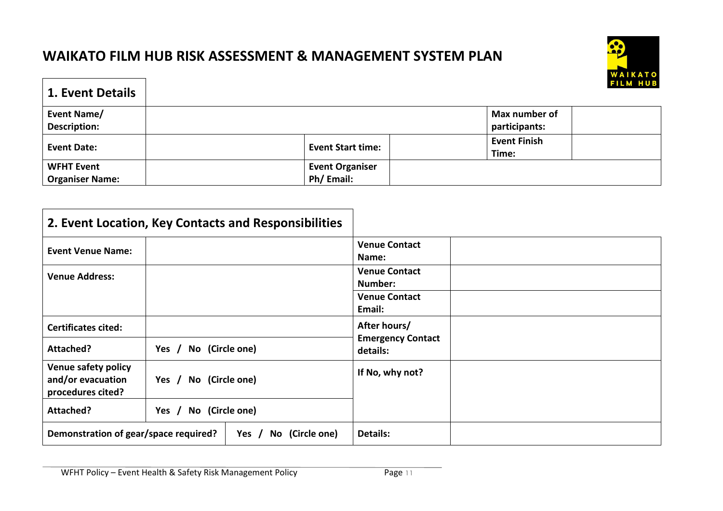# **WAIKATO FILM HUB RISK ASSESSMENT & MANAGEMENT SYSTEM PLAN**



| <b>1. Event Details</b>                     |                                     | <u>WAINAI V</u><br><b>FILM HUB</b> |
|---------------------------------------------|-------------------------------------|------------------------------------|
| Event Name/<br><b>Description:</b>          |                                     | Max number of<br>participants:     |
| <b>Event Date:</b>                          | <b>Event Start time:</b>            | <b>Event Finish</b><br>Time:       |
| <b>WFHT Event</b><br><b>Organiser Name:</b> | <b>Event Organiser</b><br>Ph/Email: |                                    |

| 2. Event Location, Key Contacts and Responsibilities                 |                            |                                      |
|----------------------------------------------------------------------|----------------------------|--------------------------------------|
| <b>Event Venue Name:</b>                                             |                            | <b>Venue Contact</b><br>Name:        |
| <b>Venue Address:</b>                                                |                            | <b>Venue Contact</b><br>Number:      |
|                                                                      |                            | <b>Venue Contact</b><br>Email:       |
| <b>Certificates cited:</b>                                           |                            | After hours/                         |
| Attached?                                                            | No (Circle one)<br>Yes $/$ | <b>Emergency Contact</b><br>details: |
| <b>Venue safety policy</b><br>and/or evacuation<br>procedures cited? | No (Circle one)<br>Yes $/$ | If No, why not?                      |
| Attached?                                                            | No (Circle one)<br>Yes $/$ |                                      |
| Demonstration of gear/space required?<br>No (Circle one)<br>Yes $/$  |                            | <b>Details:</b>                      |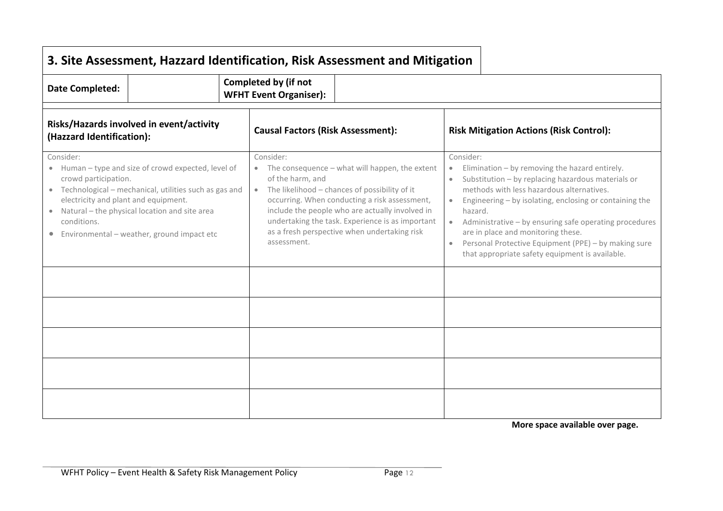| <b>Date Completed:</b>                                                                                                                                                                                                                                                                                                              | Completed by (if not<br><b>WFHT Event Organiser):</b>                                                                                                                                                                                                                                                                                                       |                                                                                                                                                                                                                                                                                                                                                                                                                                                                                        |
|-------------------------------------------------------------------------------------------------------------------------------------------------------------------------------------------------------------------------------------------------------------------------------------------------------------------------------------|-------------------------------------------------------------------------------------------------------------------------------------------------------------------------------------------------------------------------------------------------------------------------------------------------------------------------------------------------------------|----------------------------------------------------------------------------------------------------------------------------------------------------------------------------------------------------------------------------------------------------------------------------------------------------------------------------------------------------------------------------------------------------------------------------------------------------------------------------------------|
| Risks/Hazards involved in event/activity<br>(Hazzard Identification):                                                                                                                                                                                                                                                               | <b>Causal Factors (Risk Assessment):</b>                                                                                                                                                                                                                                                                                                                    | <b>Risk Mitigation Actions (Risk Control):</b>                                                                                                                                                                                                                                                                                                                                                                                                                                         |
| Consider:<br>• Human - type and size of crowd expected, level of<br>crowd participation.<br>• Technological - mechanical, utilities such as gas and<br>electricity and plant and equipment.<br>Natural - the physical location and site area<br>$\bullet$<br>conditions.<br>Environmental - weather, ground impact etc<br>$\bullet$ | Consider:<br>• The consequence - what will happen, the extent<br>of the harm, and<br>• The likelihood - chances of possibility of it<br>occurring. When conducting a risk assessment,<br>include the people who are actually involved in<br>undertaking the task. Experience is as important<br>as a fresh perspective when undertaking risk<br>assessment. | Consider:<br>Elimination - by removing the hazard entirely.<br>$\bullet$<br>Substitution - by replacing hazardous materials or<br>methods with less hazardous alternatives.<br>Engineering - by isolating, enclosing or containing the<br>$\bullet$<br>hazard.<br>Administrative - by ensuring safe operating procedures<br>$\bullet$<br>are in place and monitoring these.<br>Personal Protective Equipment (PPE) - by making sure<br>that appropriate safety equipment is available. |
|                                                                                                                                                                                                                                                                                                                                     |                                                                                                                                                                                                                                                                                                                                                             |                                                                                                                                                                                                                                                                                                                                                                                                                                                                                        |
|                                                                                                                                                                                                                                                                                                                                     |                                                                                                                                                                                                                                                                                                                                                             |                                                                                                                                                                                                                                                                                                                                                                                                                                                                                        |
|                                                                                                                                                                                                                                                                                                                                     |                                                                                                                                                                                                                                                                                                                                                             |                                                                                                                                                                                                                                                                                                                                                                                                                                                                                        |
|                                                                                                                                                                                                                                                                                                                                     |                                                                                                                                                                                                                                                                                                                                                             |                                                                                                                                                                                                                                                                                                                                                                                                                                                                                        |
|                                                                                                                                                                                                                                                                                                                                     |                                                                                                                                                                                                                                                                                                                                                             |                                                                                                                                                                                                                                                                                                                                                                                                                                                                                        |

**More space available over page.**

 $\blacksquare$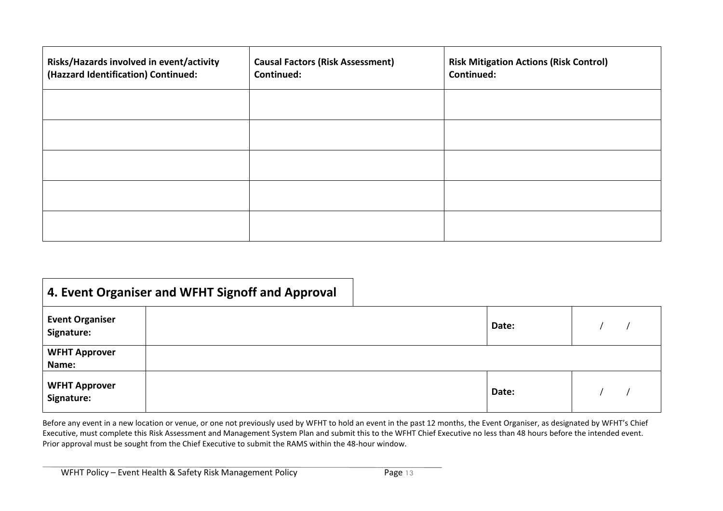| Risks/Hazards involved in event/activity<br>(Hazzard Identification) Continued: | <b>Causal Factors (Risk Assessment)</b><br><b>Continued:</b> | <b>Risk Mitigation Actions (Risk Control)</b><br>Continued: |
|---------------------------------------------------------------------------------|--------------------------------------------------------------|-------------------------------------------------------------|
|                                                                                 |                                                              |                                                             |
|                                                                                 |                                                              |                                                             |
|                                                                                 |                                                              |                                                             |
|                                                                                 |                                                              |                                                             |
|                                                                                 |                                                              |                                                             |

|                                      | 4. Event Organiser and WFHT Signoff and Approval |       |  |
|--------------------------------------|--------------------------------------------------|-------|--|
| <b>Event Organiser</b><br>Signature: |                                                  | Date: |  |
| <b>WFHT Approver</b><br>Name:        |                                                  |       |  |
| <b>WFHT Approver</b><br>Signature:   |                                                  | Date: |  |

Before any event in a new location or venue, or one not previously used by WFHT to hold an event in the past 12 months, the Event Organiser, as designated by WFHT's Chief Executive, must complete this Risk Assessment and Management System Plan and submit this to the WFHT Chief Executive no less than 48 hours before the intended event. Prior approval must be sought from the Chief Executive to submit the RAMS within the 48-hour window.